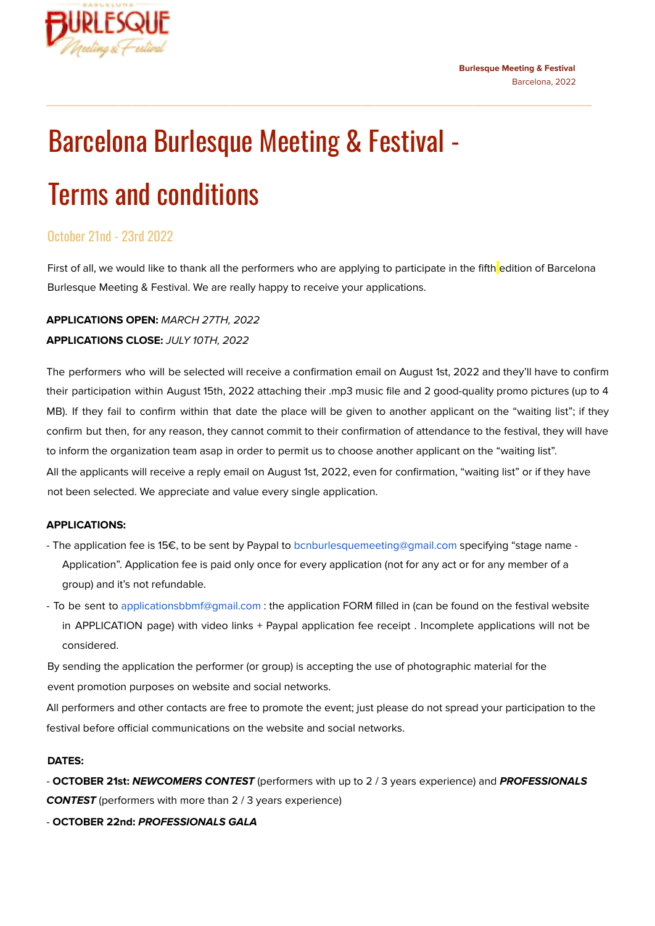



# Barcelona Burlesque Meeting & Festival -

## Terms and conditions

#### October 21nd - 23rd 2022

First of all, we would like to thank all the performers who are applying to participate in the fifth edition of Barcelona Burlesque Meeting & Festival. We are really happy to receive your applications.

\_\_\_\_\_\_\_\_\_\_\_\_\_\_\_\_\_\_\_\_\_\_\_\_\_\_\_\_\_\_\_\_\_\_\_\_\_\_\_\_\_\_\_\_\_\_\_\_\_\_\_\_\_\_\_\_\_\_\_\_\_\_\_\_\_\_\_\_\_\_\_\_\_\_\_\_\_\_\_\_\_\_\_

#### **APPLICATIONS OPEN:** MARCH 27TH, 2022

#### **APPLICATIONS CLOSE:** JULY 10TH, 2022

The performers who will be selected will receive a confirmation email on August 1st, 2022 and they'll have to confirm their participation within August 15th, 2022 attaching their .mp3 music file and 2 good-quality promo pictures (up to 4 MB). If they fail to confirm within that date the place will be given to another applicant on the "waiting list"; if they confirm but then, for any reason, they cannot commit to their confirmation of attendance to the festival, they will have to inform the organization team asap in order to permit us to choose another applicant on the "waiting list". All the applicants will receive a reply email on August 1st, 2022, even for confirmation, "waiting list" or if they have not been selected. We appreciate and value every single application.

#### **APPLICATIONS:**

- The application fee is 15€, to be sent by Paypal to bcnburlesquemeeting@gmail.com specifying "stage name Application". Application fee is paid only once for every application (not for any act or for any member of a group) and it's not refundable.
- To be sent to applicationsbbmf@gmail.com : the application FORM filled in (can be found on the festival website in APPLICATION page) with video links + Paypal application fee receipt . Incomplete applications will not be considered.

By sending the application the performer (or group) is accepting the use of photographic material for the event promotion purposes on website and social networks.

All performers and other contacts are free to promote the event; just please do not spread your participation to the festival before official communications on the website and social networks.

#### **DATES:**

- **OCTOBER 21st: NEWCOMERS CONTEST** (performers with up to 2 / 3 years experience) and **PROFESSIONALS CONTEST** (performers with more than 2 / 3 years experience)

- **OCTOBER 22nd: PROFESSIONALS GALA**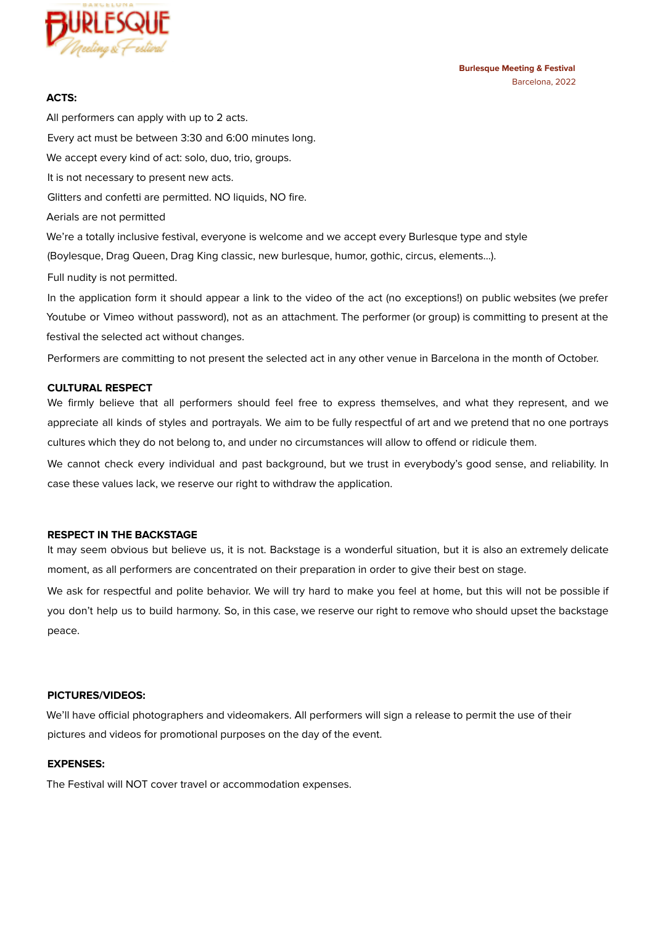

#### **ACTS:**

All performers can apply with up to 2 acts. Every act must be between 3:30 and 6:00 minutes long. We accept every kind of act: solo, duo, trio, groups. It is not necessary to present new acts. Glitters and confetti are permitted. NO liquids, NO fire. Aerials are not permitted We're a totally inclusive festival, everyone is welcome and we accept every Burlesque type and style (Boylesque, Drag Queen, Drag King classic, new burlesque, humor, gothic, circus, elements…). Full nudity is not permitted.

In the application form it should appear a link to the video of the act (no exceptions!) on public websites (we prefer Youtube or Vimeo without password), not as an attachment. The performer (or group) is committing to present at the festival the selected act without changes.

Performers are committing to not present the selected act in any other venue in Barcelona in the month of October.

#### **CULTURAL RESPECT**

We firmly believe that all performers should feel free to express themselves, and what they represent, and we appreciate all kinds of styles and portrayals. We aim to be fully respectful of art and we pretend that no one portrays cultures which they do not belong to, and under no circumstances will allow to offend or ridicule them.

We cannot check every individual and past background, but we trust in everybody's good sense, and reliability. In case these values lack, we reserve our right to withdraw the application.

#### **RESPECT IN THE BACKSTAGE**

It may seem obvious but believe us, it is not. Backstage is a wonderful situation, but it is also an extremely delicate moment, as all performers are concentrated on their preparation in order to give their best on stage.

We ask for respectful and polite behavior. We will try hard to make you feel at home, but this will not be possible if you don't help us to build harmony. So, in this case, we reserve our right to remove who should upset the backstage peace.

#### **PICTURES/VIDEOS:**

We'll have official photographers and videomakers. All performers will sign a release to permit the use of their pictures and videos for promotional purposes on the day of the event.

#### **EXPENSES:**

The Festival will NOT cover travel or accommodation expenses.